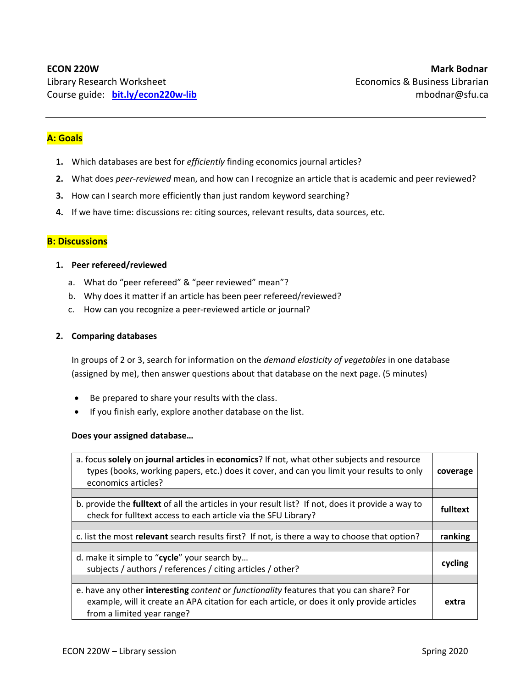# **A: Goals**

- **1.** Which databases are best for *efficiently* finding economics journal articles?
- **2.** What does *peer‐reviewed* mean, and how can I recognize an article that is academic and peer reviewed?
- **3.** How can I search more efficiently than just random keyword searching?
- **4.** If we have time: discussions re: citing sources, relevant results, data sources, etc.

## **B: Discussions**

## **1. Peer refereed/reviewed**

- a. What do "peer refereed" & "peer reviewed" mean"?
- b. Why does it matter if an article has been peer refereed/reviewed?
- c. How can you recognize a peer‐reviewed article or journal?

#### **2. Comparing databases**

In groups of 2 or 3, search for information on the *demand elasticity of vegetables* in one database (assigned by me), then answer questions about that database on the next page. (5 minutes)

- Be prepared to share your results with the class.
- If you finish early, explore another database on the list.

#### **Does your assigned database…**

| a. focus solely on journal articles in economics? If not, what other subjects and resource<br>types (books, working papers, etc.) does it cover, and can you limit your results to only<br>economics articles?      | coverage |  |  |  |
|---------------------------------------------------------------------------------------------------------------------------------------------------------------------------------------------------------------------|----------|--|--|--|
|                                                                                                                                                                                                                     |          |  |  |  |
| b. provide the <b>fulltext</b> of all the articles in your result list? If not, does it provide a way to<br>check for fulltext access to each article via the SFU Library?                                          | fulltext |  |  |  |
|                                                                                                                                                                                                                     |          |  |  |  |
| c. list the most relevant search results first? If not, is there a way to choose that option?                                                                                                                       | ranking  |  |  |  |
|                                                                                                                                                                                                                     |          |  |  |  |
| d. make it simple to "cycle" your search by<br>subjects / authors / references / citing articles / other?                                                                                                           |          |  |  |  |
|                                                                                                                                                                                                                     |          |  |  |  |
| e. have any other interesting content or functionality features that you can share? For<br>example, will it create an APA citation for each article, or does it only provide articles<br>from a limited year range? | extra    |  |  |  |